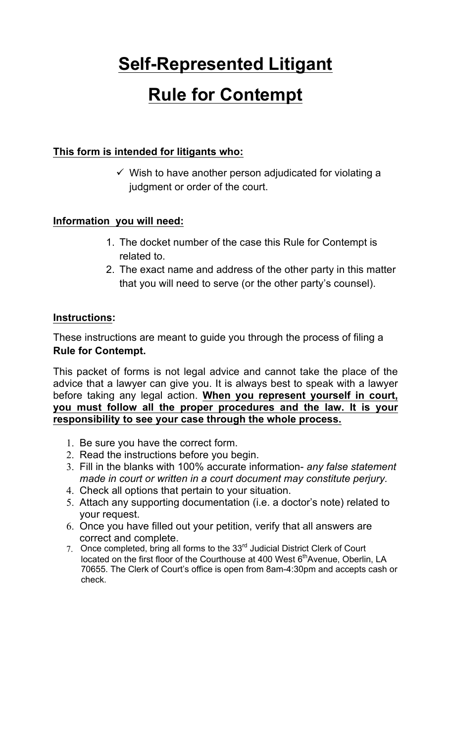# **Self-Represented Litigant**

## **Rule for Contempt**

### **This form is intended for litigants who:**

 $\checkmark$  Wish to have another person adjudicated for violating a judgment or order of the court.

### **Information you will need:**

- 1. The docket number of the case this Rule for Contempt is related to.
- 2. The exact name and address of the other party in this matter that you will need to serve (or the other party's counsel).

#### **Instructions:**

These instructions are meant to guide you through the process of filing a **Rule for Contempt.** 

This packet of forms is not legal advice and cannot take the place of the advice that a lawyer can give you. It is always best to speak with a lawyer before taking any legal action. **When you represent yourself in court, you must follow all the proper procedures and the law. It is your responsibility to see your case through the whole process.** 

- 1. Be sure you have the correct form.
- 2. Read the instructions before you begin.
- 3. Fill in the blanks with 100% accurate information- *any false statement made in court or written in a court document may constitute perjury.*
- 4. Check all options that pertain to your situation.
- 5. Attach any supporting documentation (i.e. a doctor's note) related to your request.
- 6. Once you have filled out your petition, verify that all answers are correct and complete.
- 7. Once completed, bring all forms to the 33<sup>rd</sup> Judicial District Clerk of Court located on the first floor of the Courthouse at 400 West 6<sup>th</sup>Avenue, Oberlin, LA 70655. The Clerk of Court's office is open from 8am-4:30pm and accepts cash or check.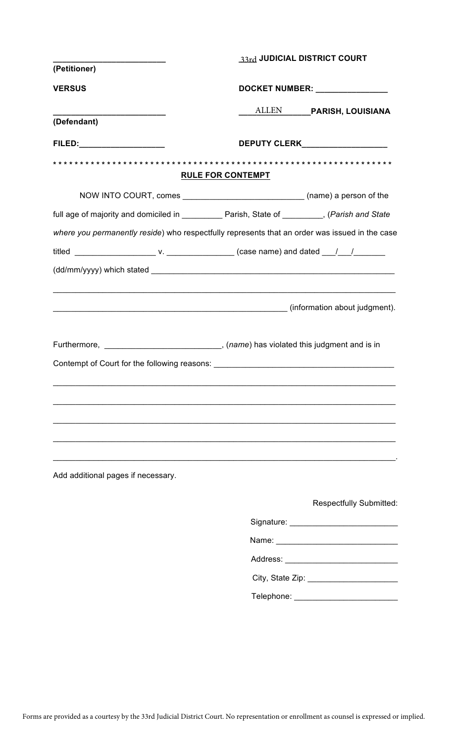|                                                                                                                                                                                                                                |                       | 33rd JUDICIAL DISTRICT COURT                                                               |                                                                                                |  |  |  |
|--------------------------------------------------------------------------------------------------------------------------------------------------------------------------------------------------------------------------------|-----------------------|--------------------------------------------------------------------------------------------|------------------------------------------------------------------------------------------------|--|--|--|
| (Petitioner)                                                                                                                                                                                                                   |                       |                                                                                            |                                                                                                |  |  |  |
| <b>VERSUS</b>                                                                                                                                                                                                                  |                       | DOCKET NUMBER: _______________                                                             |                                                                                                |  |  |  |
|                                                                                                                                                                                                                                |                       |                                                                                            | ALLEN PARISH, LOUISIANA                                                                        |  |  |  |
| (Defendant)                                                                                                                                                                                                                    |                       |                                                                                            |                                                                                                |  |  |  |
| FILED: And the state of the state of the state of the state of the state of the state of the state of the state of the state of the state of the state of the state of the state of the state of the state of the state of the |                       | DEPUTY CLERK <b>Experiment Service Service Service</b>                                     |                                                                                                |  |  |  |
|                                                                                                                                                                                                                                | * * * * * * * * * * * | <b>RULE FOR CONTEMPT</b>                                                                   |                                                                                                |  |  |  |
|                                                                                                                                                                                                                                |                       |                                                                                            | NOW INTO COURT, comes __________________________________(name) a person of the                 |  |  |  |
| full age of majority and domiciled in _____________ Parish, State of _________, (Parish and State                                                                                                                              |                       |                                                                                            |                                                                                                |  |  |  |
|                                                                                                                                                                                                                                |                       |                                                                                            | where you permanently reside) who respectfully represents that an order was issued in the case |  |  |  |
|                                                                                                                                                                                                                                |                       |                                                                                            |                                                                                                |  |  |  |
|                                                                                                                                                                                                                                |                       |                                                                                            |                                                                                                |  |  |  |
|                                                                                                                                                                                                                                |                       |                                                                                            |                                                                                                |  |  |  |
|                                                                                                                                                                                                                                |                       |                                                                                            |                                                                                                |  |  |  |
|                                                                                                                                                                                                                                |                       |                                                                                            |                                                                                                |  |  |  |
|                                                                                                                                                                                                                                |                       |                                                                                            | (information about judgment).                                                                  |  |  |  |
|                                                                                                                                                                                                                                |                       |                                                                                            |                                                                                                |  |  |  |
|                                                                                                                                                                                                                                |                       | Furthermore, ________________________________, (name) has violated this judgment and is in |                                                                                                |  |  |  |
|                                                                                                                                                                                                                                |                       |                                                                                            | Contempt of Court for the following reasons: ___________________________________               |  |  |  |
|                                                                                                                                                                                                                                |                       |                                                                                            |                                                                                                |  |  |  |
|                                                                                                                                                                                                                                |                       |                                                                                            |                                                                                                |  |  |  |
|                                                                                                                                                                                                                                |                       |                                                                                            |                                                                                                |  |  |  |
|                                                                                                                                                                                                                                |                       |                                                                                            |                                                                                                |  |  |  |
|                                                                                                                                                                                                                                |                       |                                                                                            |                                                                                                |  |  |  |
| Add additional pages if necessary.                                                                                                                                                                                             |                       |                                                                                            |                                                                                                |  |  |  |
|                                                                                                                                                                                                                                |                       |                                                                                            |                                                                                                |  |  |  |
|                                                                                                                                                                                                                                |                       |                                                                                            |                                                                                                |  |  |  |
|                                                                                                                                                                                                                                |                       |                                                                                            | <b>Respectfully Submitted:</b><br>Signature: _________________________________                 |  |  |  |
|                                                                                                                                                                                                                                |                       |                                                                                            |                                                                                                |  |  |  |
|                                                                                                                                                                                                                                |                       |                                                                                            |                                                                                                |  |  |  |
|                                                                                                                                                                                                                                |                       |                                                                                            |                                                                                                |  |  |  |